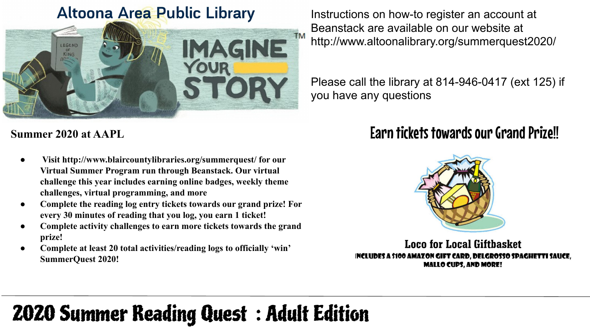#### **Altoona Area Public Library**



**Summer 2020 at AAPL**

- **● Visit http://www.blaircountylibraries.org/summerquest/ for our Virtual Summer Program run through Beanstack. Our virtual challenge this year includes earning online badges, weekly theme challenges, virtual programming, and more**
- **● Complete the reading log entry tickets towards our grand prize! For every 30 minutes of reading that you log, you earn 1 ticket!**
- **● Complete activity challenges to earn more tickets towards the grand prize!**
- **● Complete at least 20 total activities/reading logs to officially 'win' SummerQuest 2020!**

Instructions on how-to register an account at Beanstack are available on our website at http://www.altoonalibrary.org/summerquest2020/

Please call the library at 814-946-0417 (ext 125) if you have any questions

### Earn tickets towards our Grand Prize!!



**Loco for Local Giftbasket** INCLUDES A \$100 AMAZON GIFT CARD, DELGROSSO SPAGHETTI SAUCE, **MALLO CUPS, AND MORE!** 

# 2020 Summer Reading Quest : Adult Edition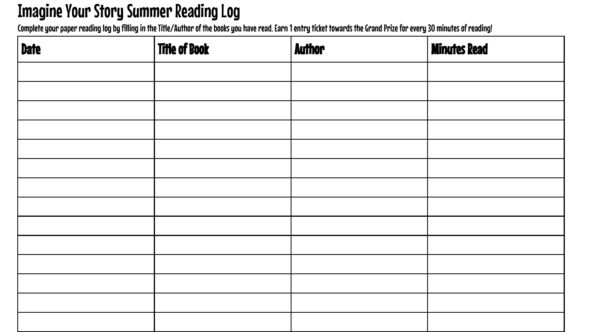# Imagine Your Story Summer Reading Log

Complete your paper reading log by filling in the Title/Author of the books you have read. Earn 1 entry ticket towards the Grand Prize for every 30 minutes of reading!

| <b>Date</b> | <b>Title of Book</b> | <b>Author</b> | <b>Minutes Read</b> |
|-------------|----------------------|---------------|---------------------|
|             |                      |               |                     |
|             |                      |               |                     |
|             |                      |               |                     |
|             |                      |               |                     |
|             |                      |               |                     |
|             |                      |               |                     |
|             |                      |               |                     |
|             |                      |               |                     |
|             |                      |               |                     |
|             |                      |               |                     |
|             |                      |               |                     |
|             |                      |               |                     |
|             |                      |               |                     |
|             |                      |               |                     |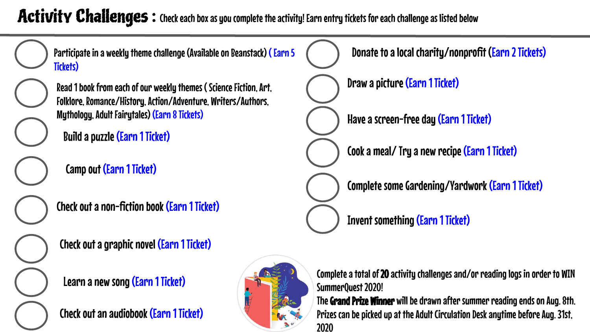### Activity Challenges: Check each box as you complete the activity! Earn entry tickets for each challenge as listed below



Participate in a weekly theme challenge (Available on Beanstack) (Earn 5 Tickets)



Read 1 book from each of our weekly themes ( Science Fiction, Art, Folklore, Romance/History, Action/Adventure, Writers/Authors, Mythology, Adult Fairytales) (Earn 8 Tickets)

Build a puzzle (Earn 1 Ticket)

Camp out (Earn 1 Ticket)

Check out a non-fiction book (Earn 1 Ticket)

Check out a graphic novel (Earn 1 Ticket)

Learn a new song (Earn 1 Ticket)

Check out an audiobook (Earn 1 Ticket)





Complete a total of 20 activity challenges and/or reading logs in order to WIN SummerQuest 2020!

The Grand Prize Winner will be drawn after summer reading ends on Aug. 8th. Prizes can be picked up at the Adult Circulation Desk anytime before Aug. 31st, 2020